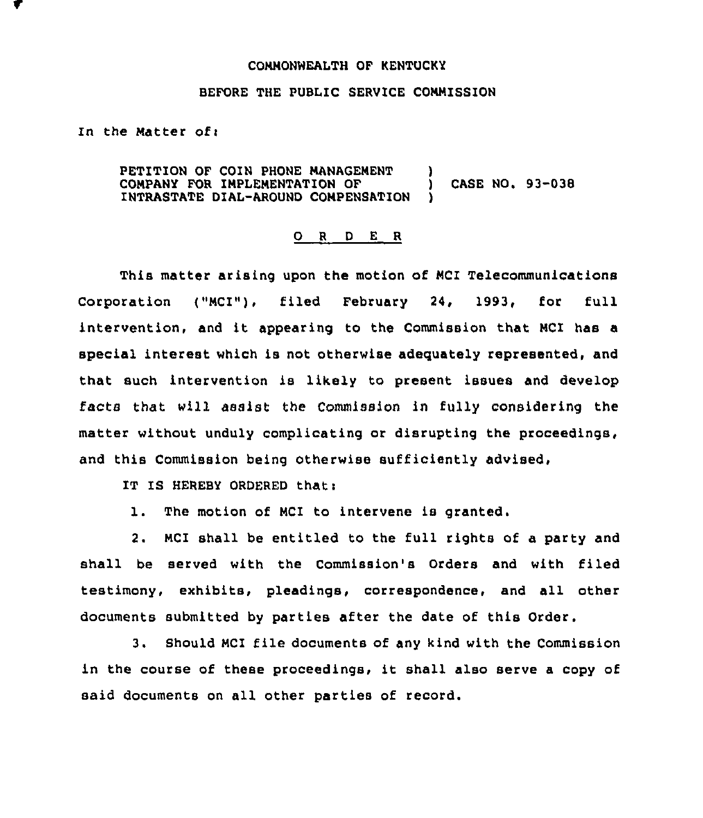## COMMONWEALTH OF KENTUCKY

## BEFORE THE FUBLIC SERVICE COMMISSION

In the Matter of:

PETITION OF COIN PHONE MANAGEMENT )<br>COMPANY FOR IMPLEMENTATION OF COMPANY FOR IMPLEMENTATION OF  $\qquad$   $\qquad$  CASE NO. 93-038 INTRASTATE DIAL-AROUND COMPENSATION

## 0 <sup>R</sup> <sup>D</sup> E <sup>R</sup>

This matter arising upon the motion of MCI Telecommunications Corporation ("MCI"), filed February 24, 1993, for full intervention, and it appearing to the Commission that NCI has <sup>a</sup> special interest which is not otherwise adeguately represented, and that such intervention is likely to present issues and develop facts that will assist the Commission in fully considering the matter without unduly complicating or disrupting the proceedings, and this Commission being otherwise sufficiently advised,

IT IS HEREBY ORDERED that:

1. The motion of MCI to intervene is granted.

2. MCI shall be entitled to the full rights of a party and shall be served with the Commission's Orders and with filed testimony, exhibits, pleadings, correspondence, and all other documents submitted by parties after the date of this Order.

3. Should MCI file documents of any kind with the Commission in the course of these proceedings, it shall also serve <sup>a</sup> copy of said documents on all other parties of record.